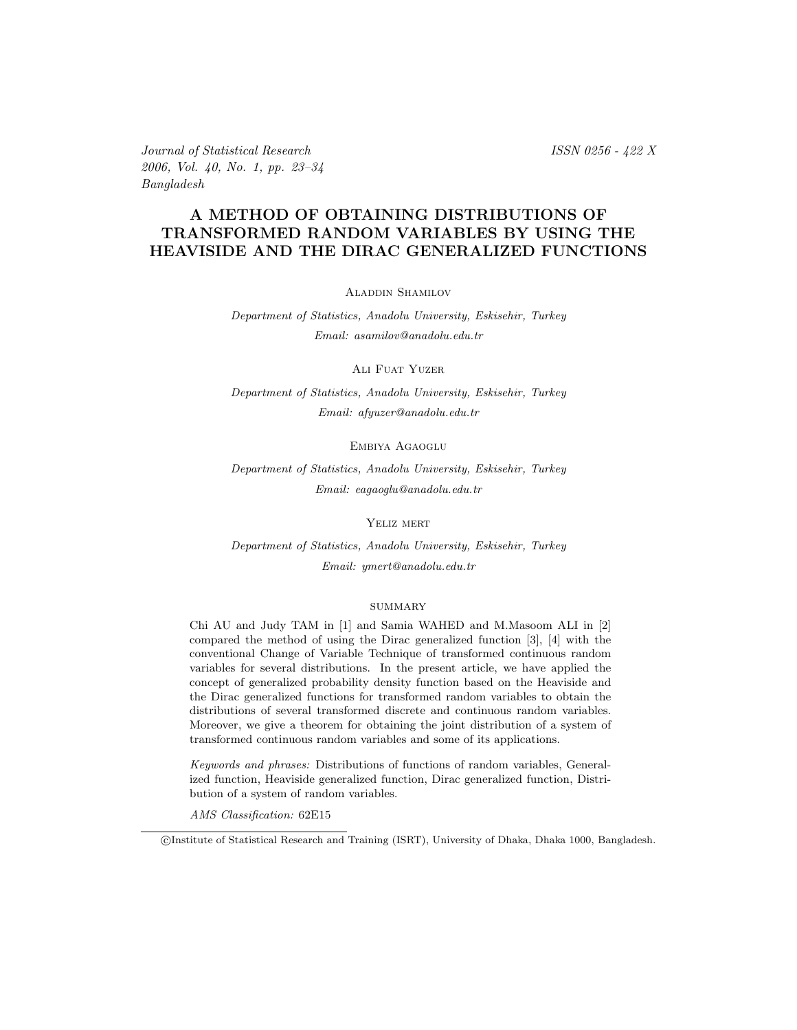Journal of Statistical Research ISSN 0256 - 422 X 2006, Vol. 40, No. 1, pp. 23–34 Bangladesh

#### A METHOD OF OBTAINING DISTRIBUTIONS OF TRANSFORMED RANDOM VARIABLES BY USING THE HEAVISIDE AND THE DIRAC GENERALIZED FUNCTIONS

Aladdin Shamilov

Department of Statistics, Anadolu University, Eskisehir, Turkey Email: asamilov@anadolu.edu.tr

ALI FUAT YUZER

Department of Statistics, Anadolu University, Eskisehir, Turkey Email: afyuzer@anadolu.edu.tr

Embiya Agaoglu

Department of Statistics, Anadolu University, Eskisehir, Turkey Email: eagaoglu@anadolu.edu.tr

#### Yeliz mert

Department of Statistics, Anadolu University, Eskisehir, Turkey Email: ymert@anadolu.edu.tr

#### **SUMMARY**

Chi AU and Judy TAM in [1] and Samia WAHED and M.Masoom ALI in [2] compared the method of using the Dirac generalized function [3], [4] with the conventional Change of Variable Technique of transformed continuous random variables for several distributions. In the present article, we have applied the concept of generalized probability density function based on the Heaviside and the Dirac generalized functions for transformed random variables to obtain the distributions of several transformed discrete and continuous random variables. Moreover, we give a theorem for obtaining the joint distribution of a system of transformed continuous random variables and some of its applications.

Keywords and phrases: Distributions of functions of random variables, Generalized function, Heaviside generalized function, Dirac generalized function, Distribution of a system of random variables.

AMS Classification: 62E15

c Institute of Statistical Research and Training (ISRT), University of Dhaka, Dhaka 1000, Bangladesh.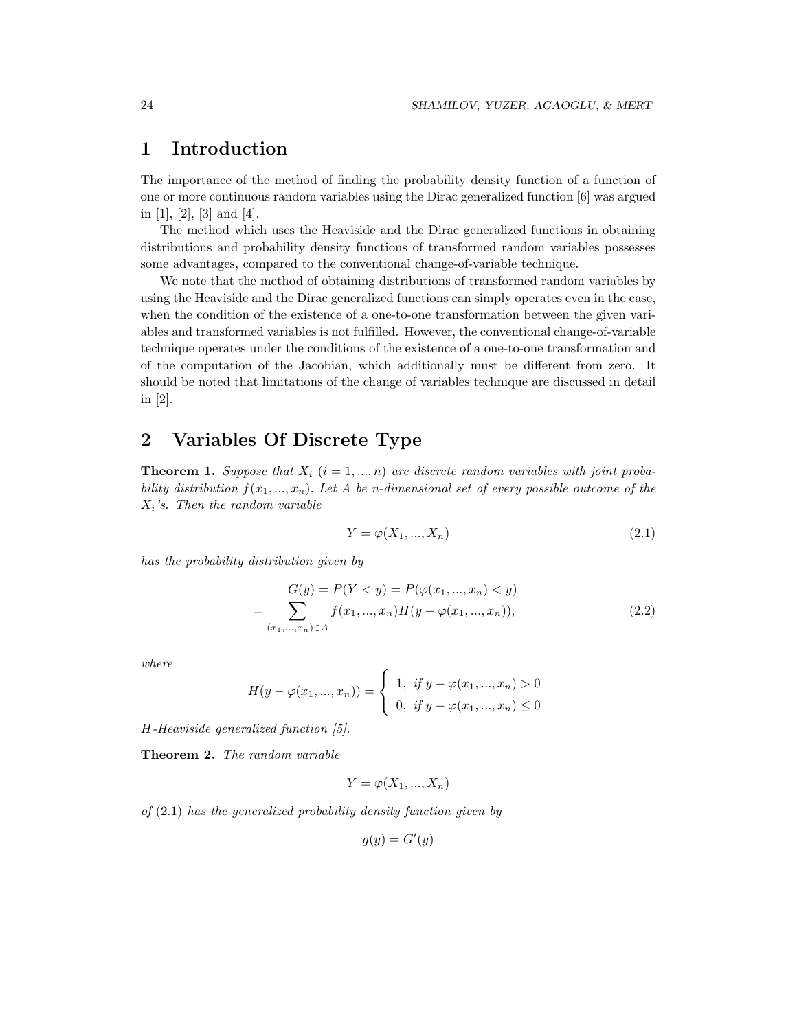## 1 Introduction

The importance of the method of finding the probability density function of a function of one or more continuous random variables using the Dirac generalized function [6] was argued in  $[1]$ ,  $[2]$ ,  $[3]$  and  $[4]$ .

The method which uses the Heaviside and the Dirac generalized functions in obtaining distributions and probability density functions of transformed random variables possesses some advantages, compared to the conventional change-of-variable technique.

We note that the method of obtaining distributions of transformed random variables by using the Heaviside and the Dirac generalized functions can simply operates even in the case, when the condition of the existence of a one-to-one transformation between the given variables and transformed variables is not fulfilled. However, the conventional change-of-variable technique operates under the conditions of the existence of a one-to-one transformation and of the computation of the Jacobian, which additionally must be different from zero. It should be noted that limitations of the change of variables technique are discussed in detail in [2].

## 2 Variables Of Discrete Type

**Theorem 1.** Suppose that  $X_i$   $(i = 1, ..., n)$  are discrete random variables with joint probability distribution  $f(x_1, ..., x_n)$ . Let A be n-dimensional set of every possible outcome of the  $X_i$ 's. Then the random variable

$$
Y = \varphi(X_1, \dots, X_n) \tag{2.1}
$$

has the probability distribution given by

$$
G(y) = P(Y < y) = P(\varphi(x_1, ..., x_n) < y)
$$
  
= 
$$
\sum_{(x_1, ..., x_n) \in A} f(x_1, ..., x_n) H(y - \varphi(x_1, ..., x_n)),
$$
 (2.2)

where

$$
H(y - \varphi(x_1, ..., x_n)) = \begin{cases} 1, & \text{if } y - \varphi(x_1, ..., x_n) > 0 \\ 0, & \text{if } y - \varphi(x_1, ..., x_n) \le 0 \end{cases}
$$

H-Heaviside generalized function [5].

Theorem 2. The random variable

$$
Y = \varphi(X_1, ..., X_n)
$$

of  $(2.1)$  has the generalized probability density function given by

$$
g(y) = G'(y)
$$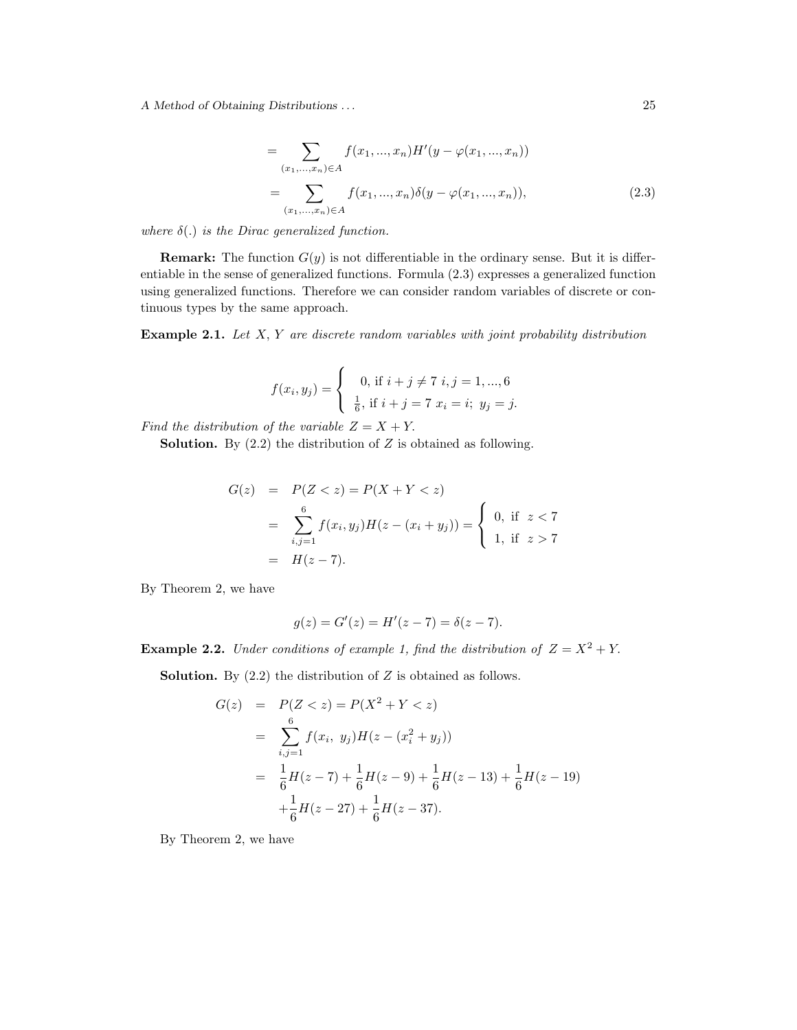A Method of Obtaining Distributions . . . 25

$$
= \sum_{(x_1,\ldots,x_n)\in A} f(x_1,\ldots,x_n)H'(y-\varphi(x_1,\ldots,x_n))
$$
  

$$
= \sum_{(x_1,\ldots,x_n)\in A} f(x_1,\ldots,x_n)\delta(y-\varphi(x_1,\ldots,x_n)),
$$
 (2.3)

where  $\delta(.)$  is the Dirac generalized function.

**Remark:** The function  $G(y)$  is not differentiable in the ordinary sense. But it is differentiable in the sense of generalized functions. Formula (2.3) expresses a generalized function using generalized functions. Therefore we can consider random variables of discrete or continuous types by the same approach.

**Example 2.1.** Let  $X, Y$  are discrete random variables with joint probability distribution

$$
f(x_i, y_j) = \begin{cases} 0, \text{ if } i + j \neq 7 \text{ } i, j = 1, ..., 6 \\ \frac{1}{6}, \text{ if } i + j = 7 \text{ } x_i = i; \ y_j = j. \end{cases}
$$

Find the distribution of the variable  $Z = X + Y$ .

**Solution.** By  $(2.2)$  the distribution of Z is obtained as following.

$$
G(z) = P(Z < z) = P(X + Y < z)
$$
  
= 
$$
\sum_{i,j=1}^{6} f(x_i, y_j) H(z - (x_i + y_j)) = \begin{cases} 0, & \text{if } z < 7 \\ 1, & \text{if } z > 7 \end{cases}
$$
  
= 
$$
H(z - 7).
$$

By Theorem 2, we have

$$
g(z) = G'(z) = H'(z - 7) = \delta(z - 7).
$$

**Example 2.2.** Under conditions of example 1, find the distribution of  $Z = X^2 + Y$ .

**Solution.** By  $(2.2)$  the distribution of Z is obtained as follows.

$$
G(z) = P(Z < z) = P(X2 + Y < z)
$$
  
= 
$$
\sum_{i,j=1}^{6} f(x_i, y_j)H(z - (x_i2 + y_j))
$$
  
= 
$$
\frac{1}{6}H(z - 7) + \frac{1}{6}H(z - 9) + \frac{1}{6}H(z - 13) + \frac{1}{6}H(z - 19)
$$
  
+ 
$$
\frac{1}{6}H(z - 27) + \frac{1}{6}H(z - 37).
$$

By Theorem 2, we have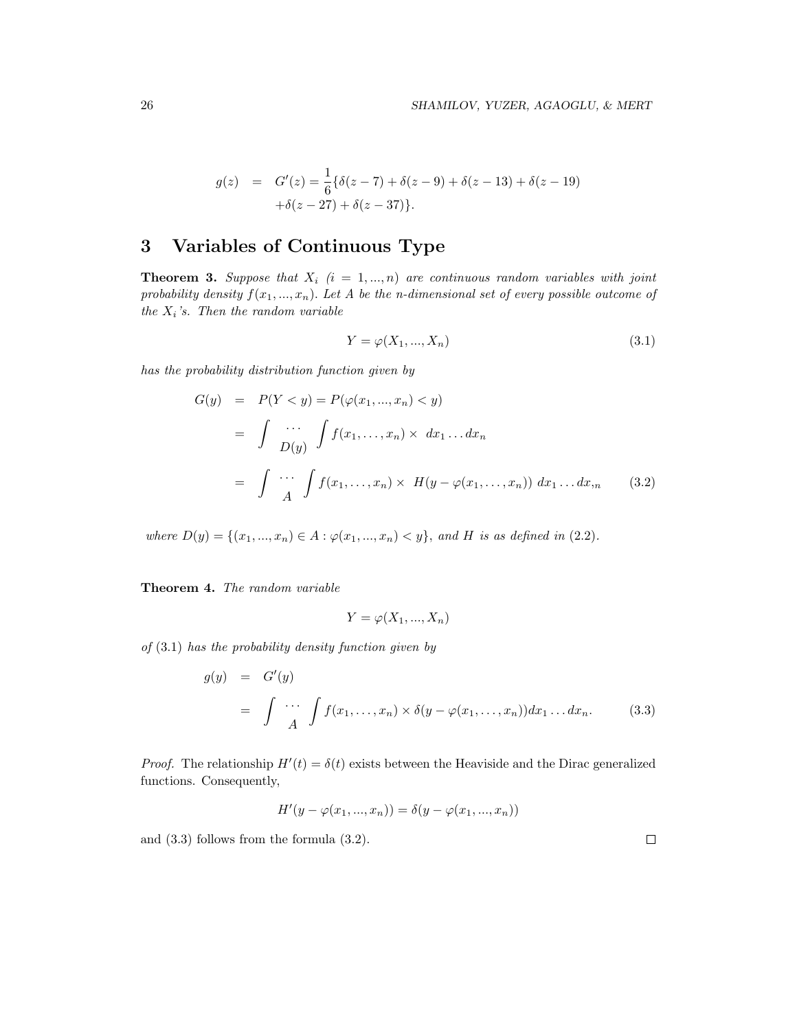$$
g(z) = G'(z) = \frac{1}{6} \{ \delta(z - 7) + \delta(z - 9) + \delta(z - 13) + \delta(z - 19) + \delta(z - 27) + \delta(z - 37) \}.
$$

# 3 Variables of Continuous Type

**Theorem 3.** Suppose that  $X_i$   $(i = 1, ..., n)$  are continuous random variables with joint probability density  $f(x_1, ..., x_n)$ . Let A be the n-dimensional set of every possible outcome of the  $X_i$ 's. Then the random variable

$$
Y = \varphi(X_1, \dots, X_n) \tag{3.1}
$$

has the probability distribution function given by

$$
G(y) = P(Y < y) = P(\varphi(x_1, ..., x_n) < y)
$$
  
\n
$$
= \int \cdots \int_{D(y)} f(x_1, ..., x_n) \times dx_1 ... dx_n
$$
  
\n
$$
= \int \cdots \int_{A} f(x_1, ..., x_n) \times H(y - \varphi(x_1, ..., x_n)) dx_1 ... dx_m
$$
 (3.2)

where  $D(y) = \{(x_1, ..., x_n) \in A : \varphi(x_1, ..., x_n) < y\}$ , and H is as defined in (2.2).

Theorem 4. The random variable

$$
Y = \varphi(X_1, ..., X_n)
$$

of  $(3.1)$  has the probability density function given by

$$
g(y) = G'(y)
$$
  
= 
$$
\int \cdots \int A(x_1, \ldots, x_n) \times \delta(y - \varphi(x_1, \ldots, x_n)) dx_1 \ldots dx_n.
$$
 (3.3)

*Proof.* The relationship  $H'(t) = \delta(t)$  exists between the Heaviside and the Dirac generalized functions. Consequently,

$$
H'(y - \varphi(x_1, ..., x_n)) = \delta(y - \varphi(x_1, ..., x_n))
$$

and (3.3) follows from the formula (3.2).

 $\Box$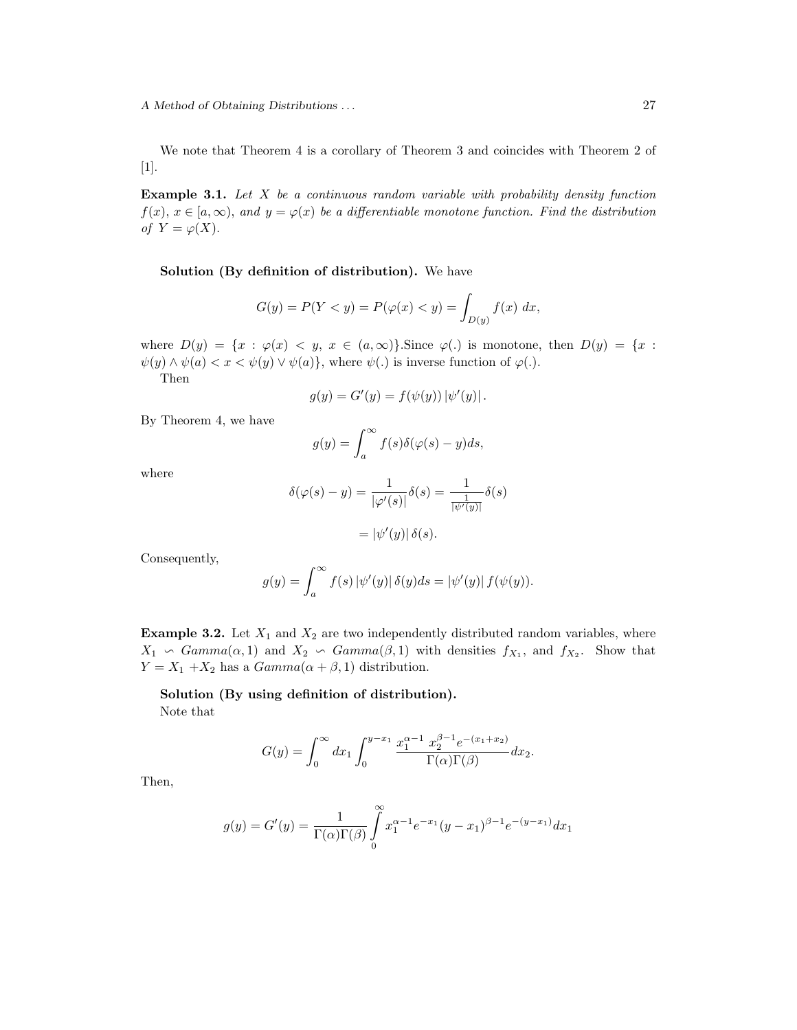We note that Theorem 4 is a corollary of Theorem 3 and coincides with Theorem 2 of [1].

**Example 3.1.** Let  $X$  be a continuous random variable with probability density function  $f(x), x \in [a, \infty)$ , and  $y = \varphi(x)$  be a differentiable monotone function. Find the distribution of  $Y = \varphi(X)$ .

Solution (By definition of distribution). We have

$$
G(y) = P(Y < y) = P(\varphi(x) < y) = \int_{D(y)} f(x) \, dx,
$$

where  $D(y) = \{x : \varphi(x) < y, x \in (a, \infty)\}\$ . Since  $\varphi(.)$  is monotone, then  $D(y) = \{x :$  $\psi(y) \wedge \psi(a) < x < \psi(y) \vee \psi(a)$ , where  $\psi(.)$  is inverse function of  $\varphi(.)$ .

Then

$$
g(y) = G'(y) = f(\psi(y)) |\psi'(y)|.
$$

By Theorem 4, we have

$$
g(y) = \int_{a}^{\infty} f(s)\delta(\varphi(s) - y)ds,
$$

where

$$
\delta(\varphi(s) - y) = \frac{1}{|\varphi'(s)|} \delta(s) = \frac{1}{\frac{1}{|\psi'(y)|}} \delta(s)
$$

$$
= |\psi'(y)| \delta(s).
$$

Consequently,

$$
g(y) = \int_a^{\infty} f(s) \left| \psi'(y) \right| \delta(y) ds = \left| \psi'(y) \right| f(\psi(y)).
$$

**Example 3.2.** Let  $X_1$  and  $X_2$  are two independently distributed random variables, where  $X_1 \backsim Gamma(\alpha, 1)$  and  $X_2 \backsim Gamma(\beta, 1)$  with densities  $f_{X_1}$ , and  $f_{X_2}$ . Show that  $Y = X_1 + X_2$  has a  $Gamma(\alpha + \beta, 1)$  distribution.

Solution (By using definition of distribution). Note that

$$
G(y) = \int_0^\infty dx_1 \int_0^{y-x_1} \frac{x_1^{\alpha-1} \ x_2^{\beta-1} e^{-(x_1+x_2)}}{\Gamma(\alpha)\Gamma(\beta)} dx_2.
$$

Then,

$$
g(y) = G'(y) = \frac{1}{\Gamma(\alpha)\Gamma(\beta)} \int_{0}^{\infty} x_1^{\alpha-1} e^{-x_1} (y - x_1)^{\beta-1} e^{-(y - x_1)} dx_1
$$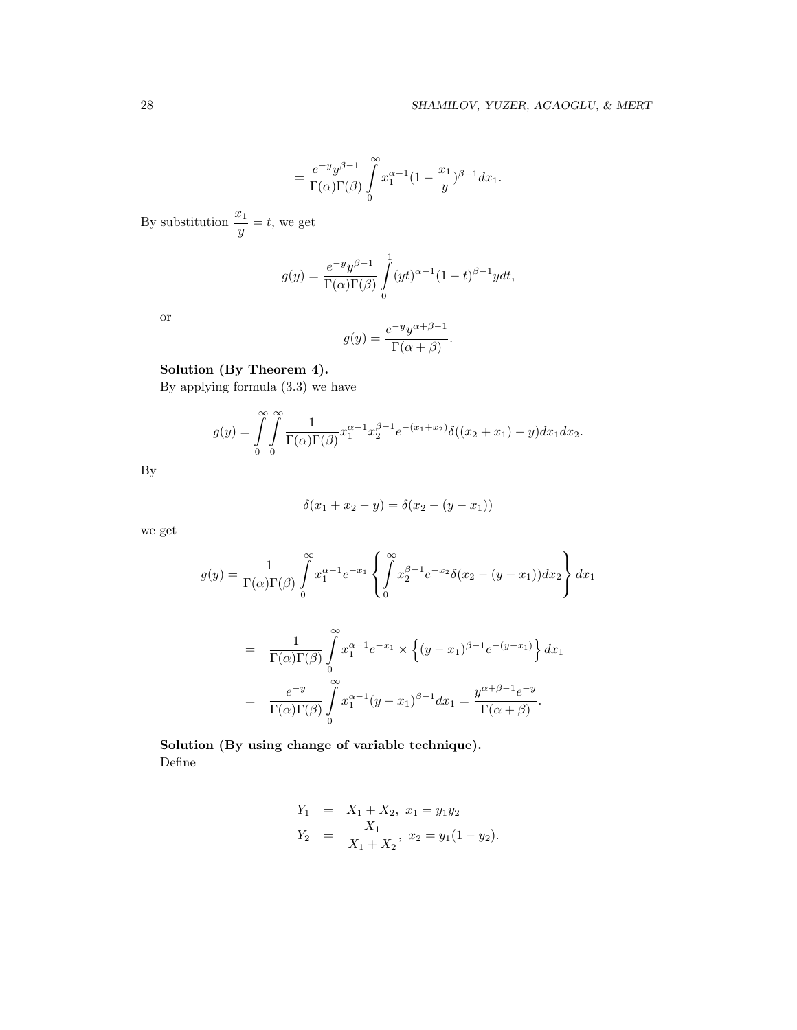$$
=\frac{e^{-y}y^{\beta-1}}{\Gamma(\alpha)\Gamma(\beta)}\int\limits_{0}^{\infty}x_1^{\alpha-1}(1-\frac{x_1}{y})^{\beta-1}dx_1.
$$

By substitution  $\frac{x_1}{y} = t$ , we get

$$
g(y) = \frac{e^{-y}y^{\beta - 1}}{\Gamma(\alpha)\Gamma(\beta)} \int_{0}^{1} (yt)^{\alpha - 1} (1 - t)^{\beta - 1} y dt,
$$

or

$$
g(y) = \frac{e^{-y} y^{\alpha+\beta-1}}{\Gamma(\alpha+\beta)}.
$$

### Solution (By Theorem 4).

By applying formula (3.3) we have

$$
g(y) = \int\limits_0^\infty \int\limits_0^\infty \frac{1}{\Gamma(\alpha)\Gamma(\beta)} x_1^{\alpha-1} x_2^{\beta-1} e^{-(x_1+x_2)} \delta((x_2+x_1)-y) dx_1 dx_2.
$$

By

$$
\delta(x_1 + x_2 - y) = \delta(x_2 - (y - x_1))
$$

we get

$$
g(y) = \frac{1}{\Gamma(\alpha)\Gamma(\beta)} \int_{0}^{\infty} x_1^{\alpha-1} e^{-x_1} \left\{ \int_{0}^{\infty} x_2^{\beta-1} e^{-x_2} \delta(x_2 - (y - x_1)) dx_2 \right\} dx_1
$$

$$
= \frac{1}{\Gamma(\alpha)\Gamma(\beta)} \int_{0}^{\infty} x_1^{\alpha-1} e^{-x_1} \times \left\{ (y-x_1)^{\beta-1} e^{-(y-x_1)} \right\} dx_1
$$

$$
= \frac{e^{-y}}{\Gamma(\alpha)\Gamma(\beta)} \int_{0}^{\infty} x_1^{\alpha-1} (y-x_1)^{\beta-1} dx_1 = \frac{y^{\alpha+\beta-1} e^{-y}}{\Gamma(\alpha+\beta)}.
$$

Solution (By using change of variable technique). Define

$$
Y_1 = X_1 + X_2, x_1 = y_1 y_2
$$
  
\n
$$
Y_2 = \frac{X_1}{X_1 + X_2}, x_2 = y_1 (1 - y_2).
$$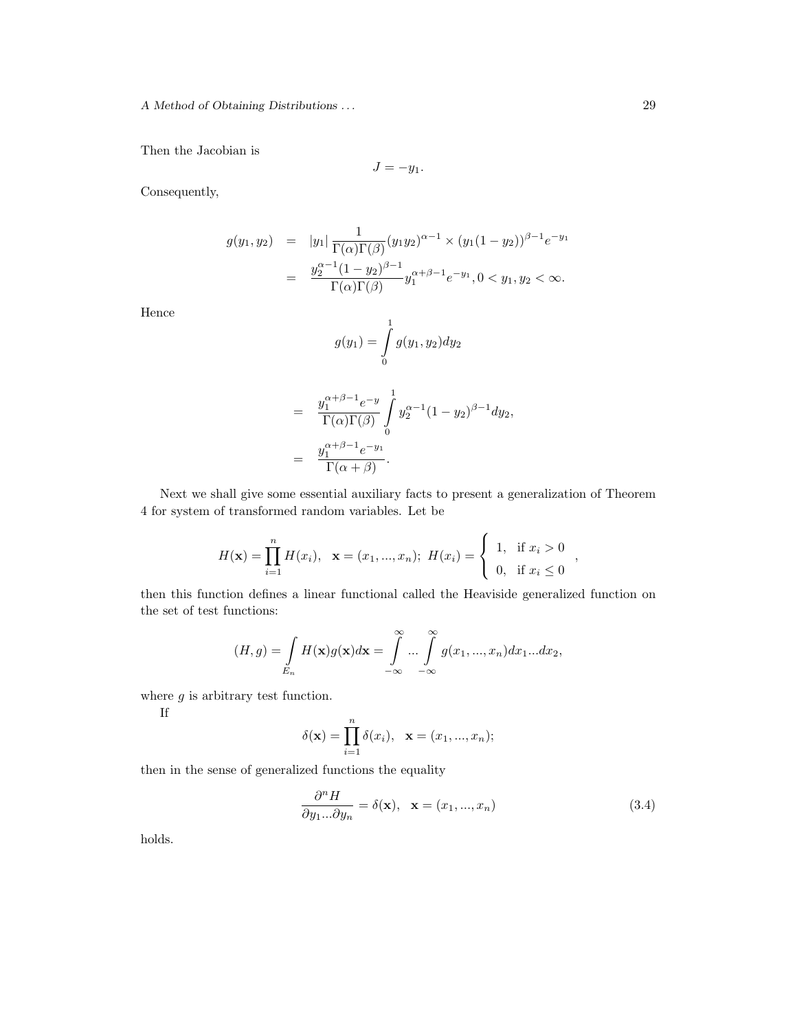Then the Jacobian is

$$
J=-y_1.
$$

Consequently,

$$
g(y_1, y_2) = |y_1| \frac{1}{\Gamma(\alpha)\Gamma(\beta)} (y_1 y_2)^{\alpha - 1} \times (y_1 (1 - y_2))^{\beta - 1} e^{-y_1}
$$
  
= 
$$
\frac{y_2^{\alpha - 1} (1 - y_2)^{\beta - 1}}{\Gamma(\alpha)\Gamma(\beta)} y_1^{\alpha + \beta - 1} e^{-y_1}, 0 < y_1, y_2 < \infty.
$$

Hence

$$
g(y_1) = \int_0^1 g(y_1, y_2) dy_2
$$
  
= 
$$
\frac{y_1^{\alpha+\beta-1} e^{-y}}{\Gamma(\alpha)\Gamma(\beta)} \int_0^1 y_2^{\alpha-1} (1-y_2)^{\beta-1} dy_2,
$$
  
= 
$$
\frac{y_1^{\alpha+\beta-1} e^{-y_1}}{\Gamma(\alpha+\beta)}.
$$

Next we shall give some essential auxiliary facts to present a generalization of Theorem 4 for system of transformed random variables. Let be

$$
H(\mathbf{x}) = \prod_{i=1}^{n} H(x_i), \quad \mathbf{x} = (x_1, ..., x_n); \quad H(x_i) = \begin{cases} 1, & \text{if } x_i > 0 \\ 0, & \text{if } x_i \le 0 \end{cases},
$$

then this function defines a linear functional called the Heaviside generalized function on the set of test functions:

$$
(H,g) = \int\limits_{E_n} H(\mathbf{x})g(\mathbf{x})d\mathbf{x} = \int\limits_{-\infty}^{\infty} \dots \int\limits_{-\infty}^{\infty} g(x_1,...,x_n)dx_1...dx_2,
$$

where  $g$  is arbitrary test function.

If

$$
\delta(\mathbf{x}) = \prod_{i=1}^{n} \delta(x_i), \ \mathbf{x} = (x_1, ..., x_n);
$$

then in the sense of generalized functions the equality

$$
\frac{\partial^n H}{\partial y_1...\partial y_n} = \delta(\mathbf{x}), \quad \mathbf{x} = (x_1, ..., x_n)
$$
\n(3.4)

holds.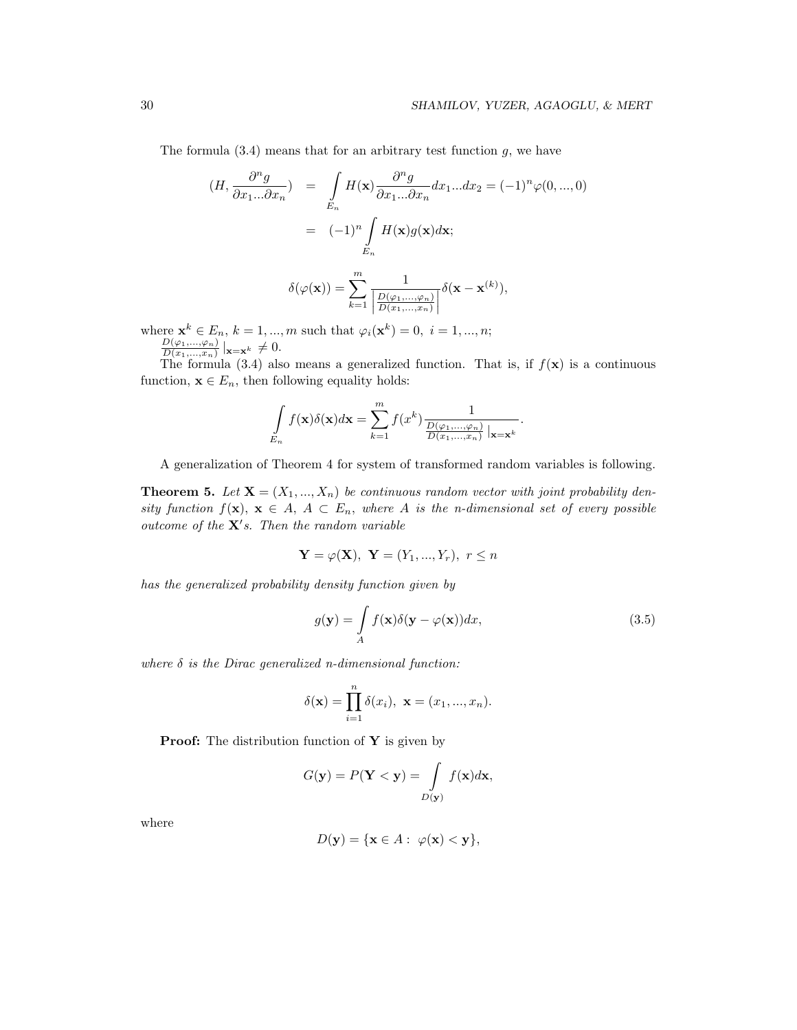The formula  $(3.4)$  means that for an arbitrary test function g, we have

$$
(H, \frac{\partial^n g}{\partial x_1 ... \partial x_n}) = \int_{E_n} H(\mathbf{x}) \frac{\partial^n g}{\partial x_1 ... \partial x_n} dx_1 ... dx_2 = (-1)^n \varphi(0, ..., 0)
$$

$$
= (-1)^n \int_{E_n} H(\mathbf{x}) g(\mathbf{x}) d\mathbf{x};
$$

$$
\delta(\varphi(\mathbf{x})) = \sum_{k=1}^{m} \frac{1}{\left| \frac{D(\varphi_1, \ldots, \varphi_n)}{D(x_1, \ldots, x_n)} \right|} \delta(\mathbf{x} - \mathbf{x}^{(k)}),
$$

where  $\mathbf{x}^{k} \in E_{n}$ ,  $k = 1, ..., m$  such that  $\varphi_{i}(\mathbf{x}^{k}) = 0, i = 1, ..., n;$  $D(\varphi_1,...,\varphi_n)$ 

 $\frac{D(\varphi_1,...,\varphi_n)}{D(x_1,...,x_n)}|_{\mathbf{x}=\mathbf{x}^k}\neq 0.$ 

The formula (3.4) also means a generalized function. That is, if  $f(\mathbf{x})$  is a continuous function,  $\mathbf{x} \in E_n$ , then following equality holds:

$$
\int_{E_n} f(\mathbf{x}) \delta(\mathbf{x}) d\mathbf{x} = \sum_{k=1}^m f(x^k) \frac{1}{\frac{D(\varphi_1, \dots, \varphi_n)}{D(x_1, \dots, x_n)} | \mathbf{x} = \mathbf{x}^k}.
$$

A generalization of Theorem 4 for system of transformed random variables is following.

**Theorem 5.** Let  $X = (X_1, ..., X_n)$  be continuous random vector with joint probability density function  $f(\mathbf{x}), \mathbf{x} \in A, A \subset E_n$ , where A is the n-dimensional set of every possible outcome of the  $X's$ . Then the random variable

$$
\mathbf{Y} = \varphi(\mathbf{X}), \ \mathbf{Y} = (Y_1, ..., Y_r), \ r \leq n
$$

has the generalized probability density function given by

$$
g(\mathbf{y}) = \int_{A} f(\mathbf{x}) \delta(\mathbf{y} - \varphi(\mathbf{x})) dx,
$$
\n(3.5)

where  $\delta$  is the Dirac generalized n-dimensional function:

$$
\delta(\mathbf{x}) = \prod_{i=1}^{n} \delta(x_i), \ \mathbf{x} = (x_1, ..., x_n).
$$

**Proof:** The distribution function of  $Y$  is given by

$$
G(\mathbf{y}) = P(\mathbf{Y} < \mathbf{y}) = \int\limits_{D(\mathbf{y})} f(\mathbf{x}) d\mathbf{x},
$$

where

$$
D(\mathbf{y}) = \{\mathbf{x} \in A : \ \varphi(\mathbf{x}) < \mathbf{y}\},
$$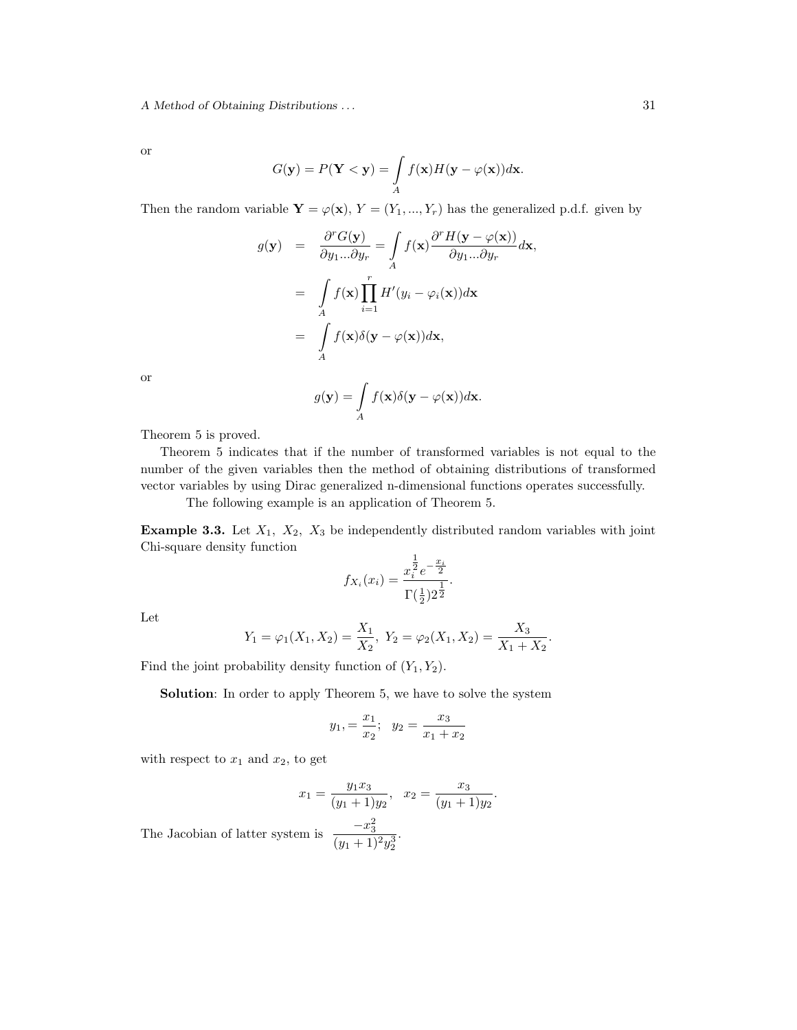A Method of Obtaining Distributions . . .  $31$ 

or

$$
G(\mathbf{y}) = P(\mathbf{Y} < \mathbf{y}) = \int\limits_A f(\mathbf{x}) H(\mathbf{y} - \varphi(\mathbf{x})) d\mathbf{x}.
$$

Then the random variable  $\mathbf{Y} = \varphi(\mathbf{x}), Y = (Y_1, ..., Y_r)$  has the generalized p.d.f. given by

$$
g(\mathbf{y}) = \frac{\partial^r G(\mathbf{y})}{\partial y_1 \dots \partial y_r} = \int_A f(\mathbf{x}) \frac{\partial^r H(\mathbf{y} - \varphi(\mathbf{x}))}{\partial y_1 \dots \partial y_r} d\mathbf{x},
$$
  

$$
= \int_A f(\mathbf{x}) \prod_{i=1}^r H'(y_i - \varphi_i(\mathbf{x})) d\mathbf{x}
$$
  

$$
= \int_A f(\mathbf{x}) \delta(\mathbf{y} - \varphi(\mathbf{x})) d\mathbf{x},
$$

or

$$
g(\mathbf{y}) = \int\limits_A f(\mathbf{x}) \delta(\mathbf{y} - \varphi(\mathbf{x})) d\mathbf{x}.
$$

Theorem 5 is proved.

Theorem 5 indicates that if the number of transformed variables is not equal to the number of the given variables then the method of obtaining distributions of transformed vector variables by using Dirac generalized n-dimensional functions operates successfully.

The following example is an application of Theorem 5.

**Example 3.3.** Let  $X_1$ ,  $X_2$ ,  $X_3$  be independently distributed random variables with joint Chi-square density function

$$
f_{X_i}(x_i) = \frac{x_i^{\frac{1}{2}} e^{-\frac{x_i}{2}}}{\Gamma(\frac{1}{2})2^{\frac{1}{2}}}.
$$

Let

$$
Y_1 = \varphi_1(X_1, X_2) = \frac{X_1}{X_2}, Y_2 = \varphi_2(X_1, X_2) = \frac{X_3}{X_1 + X_2}.
$$

Find the joint probability density function of  $(Y_1, Y_2)$ .

Solution: In order to apply Theorem 5, we have to solve the system

$$
y_1, = \frac{x_1}{x_2}; \quad y_2 = \frac{x_3}{x_1 + x_2}
$$

with respect to  $x_1$  and  $x_2$ , to get

$$
x_1 = \frac{y_1 x_3}{(y_1 + 1)y_2}, \quad x_2 = \frac{x_3}{(y_1 + 1)y_2}.
$$

.

The Jacobian of latter system is  $\frac{-x_3^2}{(x_3-x_1^2)^2}$  $(y_1+1)^2y_2^3$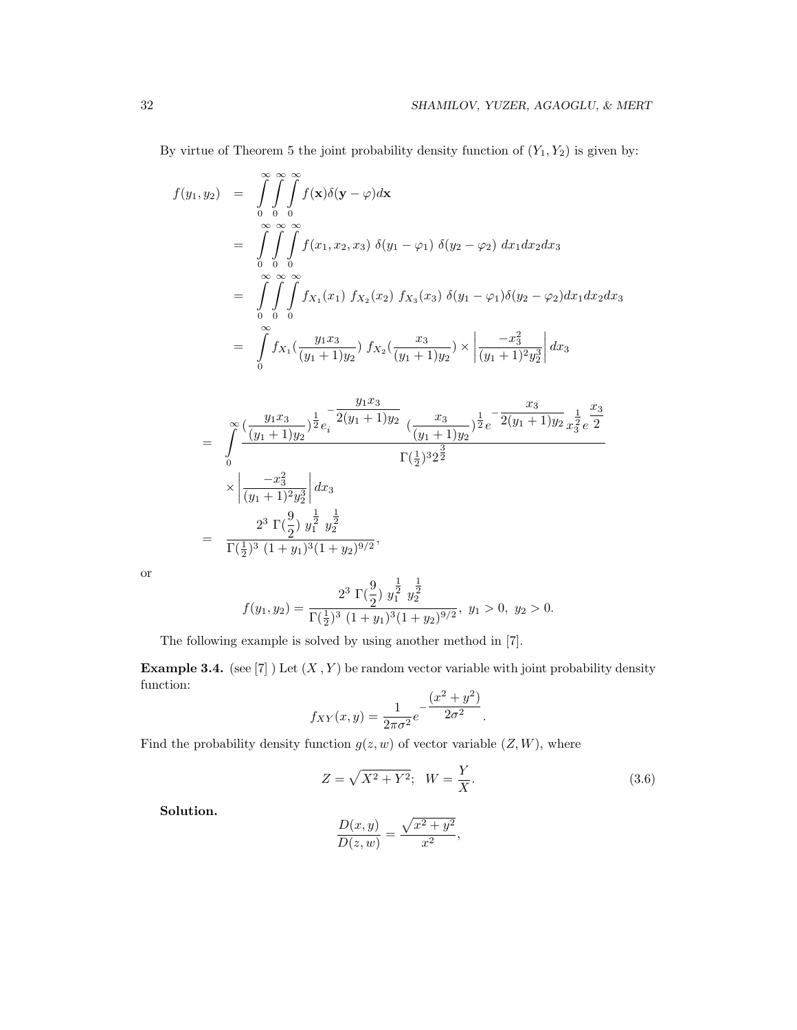By virtue of Theorem 5 the joint probability density function of  $(Y_1, Y_2)$  is given by:

$$
f(y_1, y_2) = \int_{0}^{\infty} \int_{0}^{\infty} \int_{0}^{\infty} f(\mathbf{x}) \delta(\mathbf{y} - \varphi) d\mathbf{x}
$$
  
\n
$$
= \int_{0}^{\infty} \int_{0}^{\infty} \int_{0}^{\infty} f(x_1, x_2, x_3) \delta(y_1 - \varphi_1) \delta(y_2 - \varphi_2) dx_1 dx_2 dx_3
$$
  
\n
$$
= \int_{0}^{\infty} \int_{0}^{\infty} \int_{0}^{\infty} f(x_1) f(x_2) f(x_3) \delta(y_1 - \varphi_1) \delta(y_2 - \varphi_2) dx_1 dx_2 dx_3
$$
  
\n
$$
= \int_{0}^{\infty} \int_{0}^{\infty} f(x_1) \left( \frac{y_1 x_3}{(y_1 + 1) y_2} \right) f(x_2) \left( \frac{x_3}{(y_1 + 1) y_2} \right) \times \left| \frac{-x_3^2}{(y_1 + 1)^2 y_2^3} \right| dx_3
$$

$$
= \int_{0}^{\infty} \frac{\left(\frac{y_{1}x_{3}}{(y_{1}+1)y_{2}}\right)^{\frac{1}{2}} e^{-\frac{y_{1}x_{3}}{2}(y_{1}+1)y_{2}} \left(\frac{x_{3}}{(y_{1}+1)y_{2}}\right)^{\frac{1}{2}} e^{-\frac{x_{3}}{2}(y_{1}+1)y_{2}} x_{3}^{\frac{1}{2}} e^{\frac{x_{3}}{2}}}{\Gamma(\frac{1}{2})^{3} 2^{\frac{3}{2}}} \times \left|\frac{-x_{3}^{2}}{(y_{1}+1)^{2} y_{2}^{3}}\right| dx_{3}
$$
  

$$
= \frac{2^{3} \Gamma(\frac{9}{2}) y_{1}^{\frac{1}{2}} y_{2}^{\frac{1}{2}}}{\Gamma(\frac{1}{2})^{3} (1+y_{1})^{3} (1+y_{2})^{9/2}},
$$

or

$$
f(y_1, y_2) = \frac{2^3 \Gamma(\frac{9}{2}) y_1^{\frac{1}{2}} y_2^{\frac{1}{2}}}{\Gamma(\frac{1}{2})^3 (1 + y_1)^3 (1 + y_2)^{9/2}}, \ y_1 > 0, \ y_2 > 0.
$$

The following example is solved by using another method in [7].

**Example 3.4.** (see [7] ) Let  $(X, Y)$  be random vector variable with joint probability density function:

$$
f_{XY}(x,y) = \frac{1}{2\pi\sigma^2} e^{-\frac{(x^2 + y^2)}{2\sigma^2}}.
$$

Find the probability density function  $g(z, w)$  of vector variable  $(Z, W)$ , where

$$
Z = \sqrt{X^2 + Y^2}; \quad W = \frac{Y}{X}.
$$
\n(3.6)

Solution.

$$
\frac{D(x,y)}{D(z,w)} = \frac{\sqrt{x^2 + y^2}}{x^2},
$$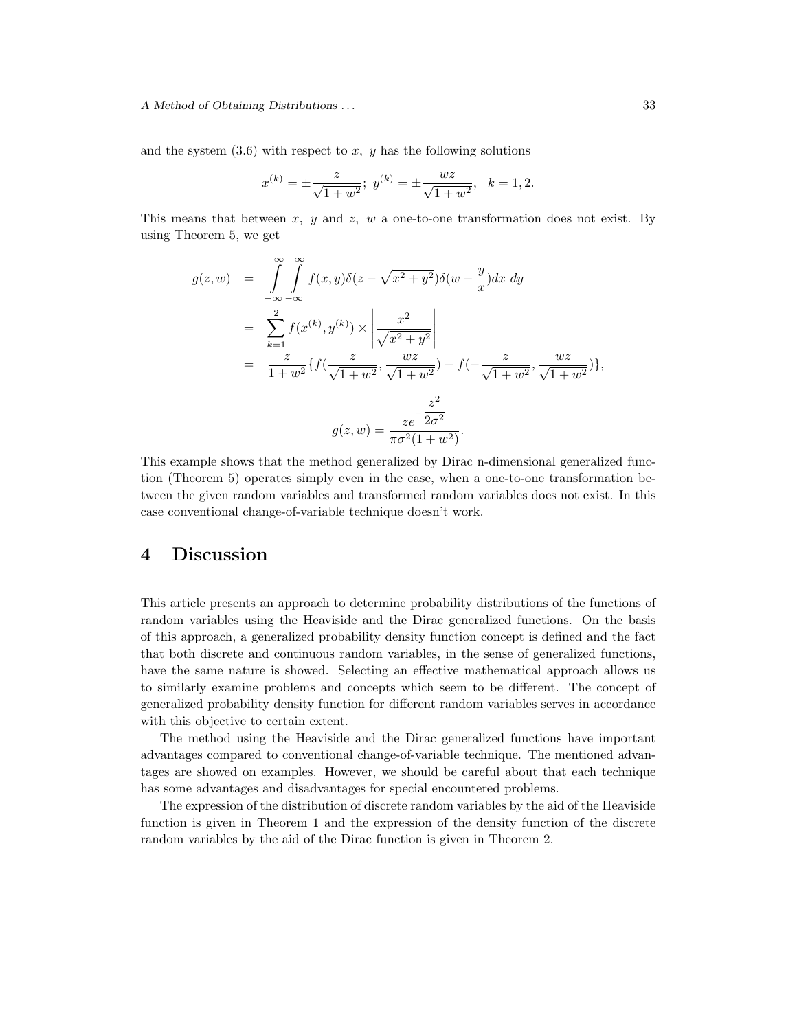and the system  $(3.6)$  with respect to x, y has the following solutions

$$
x^{(k)} = \pm \frac{z}{\sqrt{1+w^2}}; \ y^{(k)} = \pm \frac{wz}{\sqrt{1+w^2}}, \ k = 1, 2.
$$

This means that between x, y and z, w a one-to-one transformation does not exist. By using Theorem 5, we get

$$
g(z, w) = \int_{-\infty}^{\infty} \int_{-\infty}^{\infty} f(x, y) \delta(z - \sqrt{x^2 + y^2}) \delta(w - \frac{y}{x}) dx dy
$$
  
\n
$$
= \sum_{k=1}^{2} f(x^{(k)}, y^{(k)}) \times \left| \frac{x^2}{\sqrt{x^2 + y^2}} \right|
$$
  
\n
$$
= \frac{z}{1 + w^2} \{ f(\frac{z}{\sqrt{1 + w^2}}, \frac{wz}{\sqrt{1 + w^2}}) + f(-\frac{z}{\sqrt{1 + w^2}}, \frac{wz}{\sqrt{1 + w^2}}) \},
$$
  
\n
$$
g(z, w) = \frac{z^2}{\pi \sigma^2 (1 + w^2)}.
$$

This example shows that the method generalized by Dirac n-dimensional generalized function (Theorem 5) operates simply even in the case, when a one-to-one transformation between the given random variables and transformed random variables does not exist. In this case conventional change-of-variable technique doesn't work.

### 4 Discussion

This article presents an approach to determine probability distributions of the functions of random variables using the Heaviside and the Dirac generalized functions. On the basis of this approach, a generalized probability density function concept is defined and the fact that both discrete and continuous random variables, in the sense of generalized functions, have the same nature is showed. Selecting an effective mathematical approach allows us to similarly examine problems and concepts which seem to be different. The concept of generalized probability density function for different random variables serves in accordance with this objective to certain extent.

The method using the Heaviside and the Dirac generalized functions have important advantages compared to conventional change-of-variable technique. The mentioned advantages are showed on examples. However, we should be careful about that each technique has some advantages and disadvantages for special encountered problems.

The expression of the distribution of discrete random variables by the aid of the Heaviside function is given in Theorem 1 and the expression of the density function of the discrete random variables by the aid of the Dirac function is given in Theorem 2.